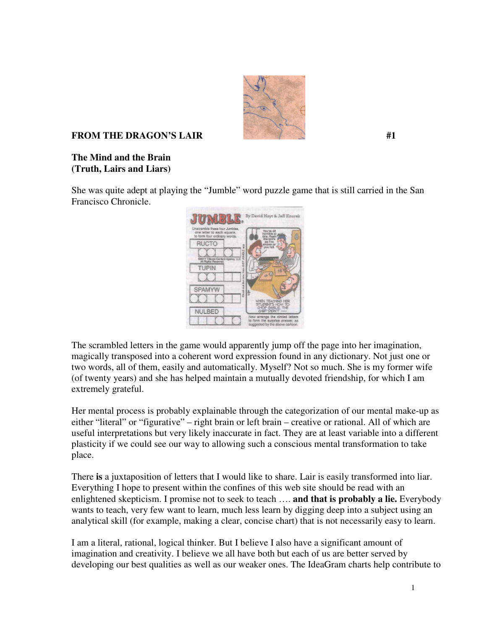

## **FROM THE DRAGON'S LAIR**  $\sharp$ **1**

## **The Mind and the Brain (Truth, Lairs and Liars)**

She was quite adept at playing the "Jumble" word puzzle game that is still carried in the San Francisco Chronicle.



The scrambled letters in the game would apparently jump off the page into her imagination, magically transposed into a coherent word expression found in any dictionary. Not just one or two words, all of them, easily and automatically. Myself? Not so much. She is my former wife (of twenty years) and she has helped maintain a mutually devoted friendship, for which I am extremely grateful.

Her mental process is probably explainable through the categorization of our mental make-up as either "literal" or "figurative" – right brain or left brain – creative or rational. All of which are useful interpretations but very likely inaccurate in fact. They are at least variable into a different plasticity if we could see our way to allowing such a conscious mental transformation to take place.

There **is** a juxtaposition of letters that I would like to share. Lair is easily transformed into liar. Everything I hope to present within the confines of this web site should be read with an enlightened skepticism. I promise not to seek to teach …. **and that is probably a lie.** Everybody wants to teach, very few want to learn, much less learn by digging deep into a subject using an analytical skill (for example, making a clear, concise chart) that is not necessarily easy to learn.

I am a literal, rational, logical thinker. But I believe I also have a significant amount of imagination and creativity. I believe we all have both but each of us are better served by developing our best qualities as well as our weaker ones. The IdeaGram charts help contribute to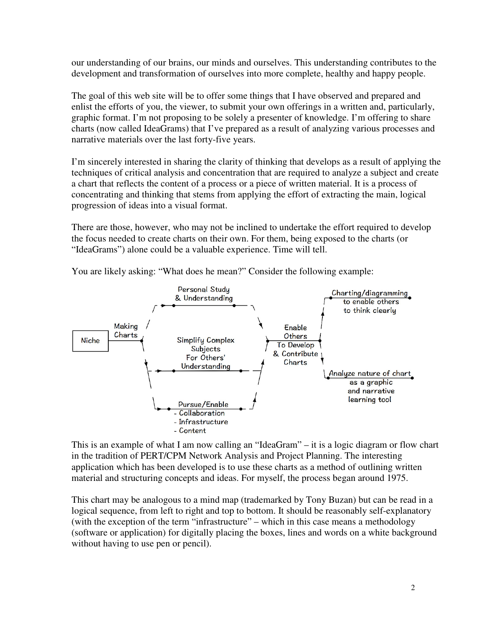our understanding of our brains, our minds and ourselves. This understanding contributes to the development and transformation of ourselves into more complete, healthy and happy people.

The goal of this web site will be to offer some things that I have observed and prepared and enlist the efforts of you, the viewer, to submit your own offerings in a written and, particularly, graphic format. I'm not proposing to be solely a presenter of knowledge. I'm offering to share charts (now called IdeaGrams) that I've prepared as a result of analyzing various processes and narrative materials over the last forty-five years.

I'm sincerely interested in sharing the clarity of thinking that develops as a result of applying the techniques of critical analysis and concentration that are required to analyze a subject and create a chart that reflects the content of a process or a piece of written material. It is a process of concentrating and thinking that stems from applying the effort of extracting the main, logical progression of ideas into a visual format.

There are those, however, who may not be inclined to undertake the effort required to develop the focus needed to create charts on their own. For them, being exposed to the charts (or "IdeaGrams") alone could be a valuable experience. Time will tell.



You are likely asking: "What does he mean?" Consider the following example:

This is an example of what I am now calling an "IdeaGram" – it is a logic diagram or flow chart in the tradition of PERT/CPM Network Analysis and Project Planning. The interesting application which has been developed is to use these charts as a method of outlining written material and structuring concepts and ideas. For myself, the process began around 1975.

This chart may be analogous to a mind map (trademarked by Tony Buzan) but can be read in a logical sequence, from left to right and top to bottom. It should be reasonably self-explanatory (with the exception of the term "infrastructure" – which in this case means a methodology (software or application) for digitally placing the boxes, lines and words on a white background without having to use pen or pencil).